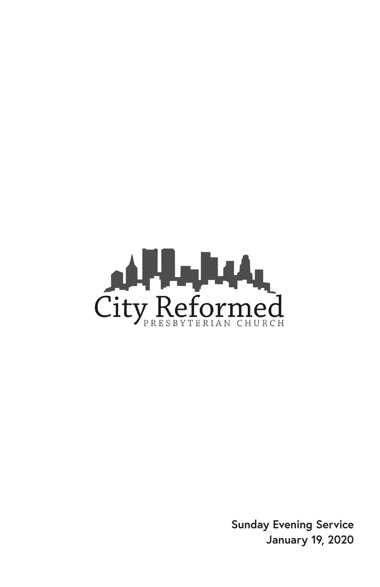

**Sunday Evening Service January 19, 2020**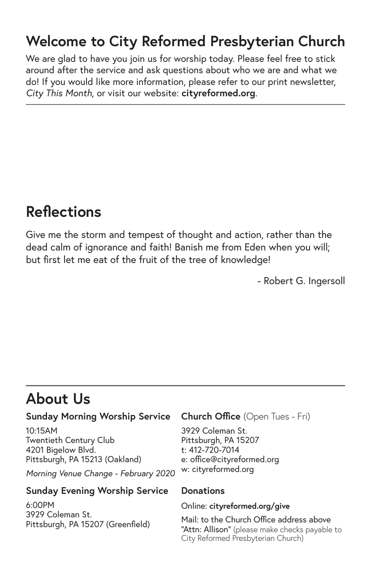### **Welcome to City Reformed Presbyterian Church**

We are glad to have you join us for worship today. Please feel free to stick around after the service and ask questions about who we are and what we do! If you would like more information, please refer to our print newsletter, *City This Month,* or visit our website: **cityreformed.org**.

### **Reflections**

Give me the storm and tempest of thought and action, rather than the dead calm of ignorance and faith! Banish me from Eden when you will; but first let me eat of the fruit of the tree of knowledge!

- Robert G. Ingersoll

# **About Us**

#### **Sunday Morning Worship Service**

10:15AM Twentieth Century Club 4201 Bigelow Blvd. Pittsburgh, PA 15213 (Oakland)

*Morning Venue Change - February 2020*

#### **Sunday Evening Worship Service**

6:00PM 3929 Coleman St. Pittsburgh, PA 15207 (Greenfield)

#### **Church Office** (Open Tues - Fri)

3929 Coleman St. Pittsburgh, PA 15207 t: 412-720-7014 e: office@cityreformed.org w: cityreformed.org

#### **Donations**

Online: **cityreformed.org/give**

Mail: to the Church Office address above "Attn: Allison" (please make checks payable to City Reformed Presbyterian Church)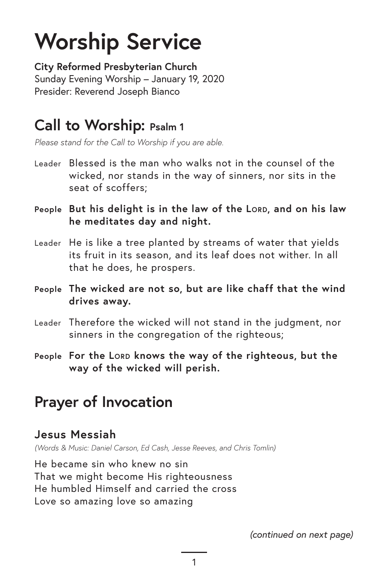# **Worship Service**

**City Reformed Presbyterian Church** Sunday Evening Worship – January 19, 2020 Presider: Reverend Joseph Bianco

### **Call to Worship: Psalm 1**

*Please stand for the Call to Worship if you are able.*

- Leader Blessed is the man who walks not in the counsel of the wicked, nor stands in the way of sinners, nor sits in the seat of scoffers;
- People But his delight is in the law of the LORD, and on his law **he meditates day and night.**
- Leader He is like a tree planted by streams of water that yields its fruit in its season, and its leaf does not wither. In all that he does, he prospers.
- **People The wicked are not so, but are like chaff that the wind drives away.**
- Leader Therefore the wicked will not stand in the judgment, nor sinners in the congregation of the righteous;
- **People For the Lord knows the way of the righteous, but the way of the wicked will perish.**

### **Prayer of Invocation**

#### **Jesus Messiah**

*(Words & Music: Daniel Carson, Ed Cash, Jesse Reeves, and Chris Tomlin)*

He became sin who knew no sin That we might become His righteousness He humbled Himself and carried the cross Love so amazing love so amazing

*(continued on next page)*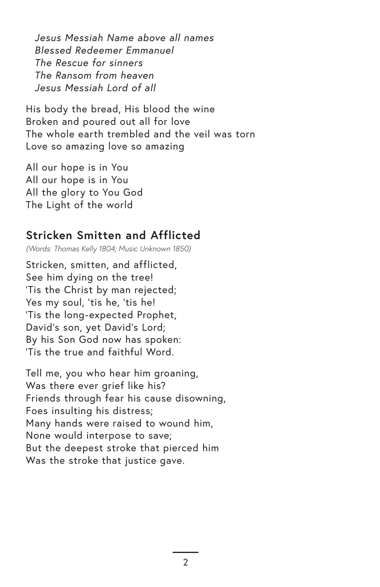*Jesus Messiah Name above all names Blessed Redeemer Emmanuel The Rescue for sinners The Ransom from heaven Jesus Messiah Lord of all*

His body the bread, His blood the wine Broken and poured out all for love The whole earth trembled and the veil was torn Love so amazing love so amazing

All our hope is in You All our hope is in You All the glory to You God The Light of the world

#### **Stricken Smitten and Afflicted**

*(Words: Thomas Kelly 1804; Music Unknown 1850)*

Stricken, smitten, and afflicted, See him dying on the tree! 'Tis the Christ by man rejected; Yes my soul, 'tis he, 'tis he! 'Tis the long-expected Prophet, David's son, yet David's Lord; By his Son God now has spoken: 'Tis the true and faithful Word.

Tell me, you who hear him groaning, Was there ever grief like his? Friends through fear his cause disowning, Foes insulting his distress; Many hands were raised to wound him, None would interpose to save; But the deepest stroke that pierced him Was the stroke that justice gave.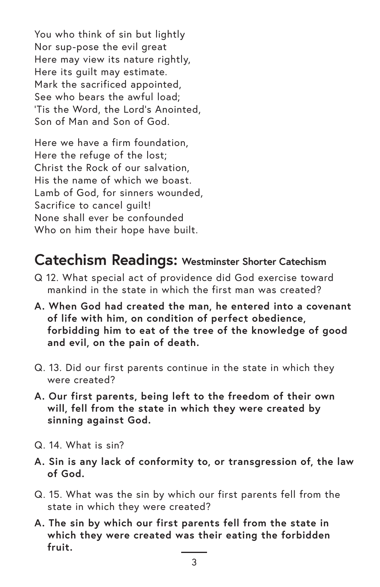You who think of sin but lightly Nor sup-pose the evil great Here may view its nature rightly, Here its guilt may estimate. Mark the sacrificed appointed, See who bears the awful load; 'Tis the Word, the Lord's Anointed, Son of Man and Son of God.

Here we have a firm foundation, Here the refuge of the lost; Christ the Rock of our salvation, His the name of which we boast. Lamb of God, for sinners wounded, Sacrifice to cancel guilt! None shall ever be confounded Who on him their hope have built.

#### **Catechism Readings: Westminster Shorter Catechism**

- Q 12. What special act of providence did God exercise toward mankind in the state in which the first man was created?
- **A. When God had created the man, he entered into a covenant of life with him, on condition of perfect obedience, forbidding him to eat of the tree of the knowledge of good and evil, on the pain of death.**
- Q. 13. Did our first parents continue in the state in which they were created?
- **A. Our first parents, being left to the freedom of their own will, fell from the state in which they were created by sinning against God.**
- Q. 14. What is sin?
- **A. Sin is any lack of conformity to, or transgression of, the law of God.**
- Q. 15. What was the sin by which our first parents fell from the state in which they were created?
- **A. The sin by which our first parents fell from the state in which they were created was their eating the forbidden fruit.**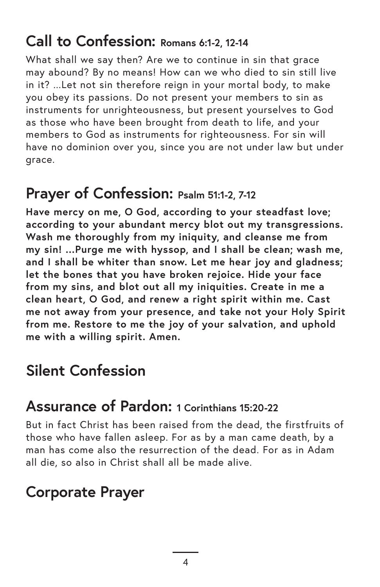### **Call to Confession: Romans 6:1-2, 12-14**

What shall we say then? Are we to continue in sin that grace may abound? By no means! How can we who died to sin still live in it? ...Let not sin therefore reign in your mortal body, to make you obey its passions. Do not present your members to sin as instruments for unrighteousness, but present yourselves to God as those who have been brought from death to life, and your members to God as instruments for righteousness. For sin will have no dominion over you, since you are not under law but under grace.

### **Prayer of Confession: Psalm 51:1-2, 7-12**

**Have mercy on me, O God, according to your steadfast love; according to your abundant mercy blot out my transgressions. Wash me thoroughly from my iniquity, and cleanse me from my sin! ...Purge me with hyssop, and I shall be clean; wash me, and I shall be whiter than snow. Let me hear joy and gladness; let the bones that you have broken rejoice. Hide your face from my sins, and blot out all my iniquities. Create in me a clean heart, O God, and renew a right spirit within me. Cast me not away from your presence, and take not your Holy Spirit from me. Restore to me the joy of your salvation, and uphold me with a willing spirit. Amen.**

### **Silent Confession**

#### **Assurance of Pardon: 1 Corinthians 15:20-22**

But in fact Christ has been raised from the dead, the firstfruits of those who have fallen asleep. For as by a man came death, by a man has come also the resurrection of the dead. For as in Adam all die, so also in Christ shall all be made alive.

# **Corporate Prayer**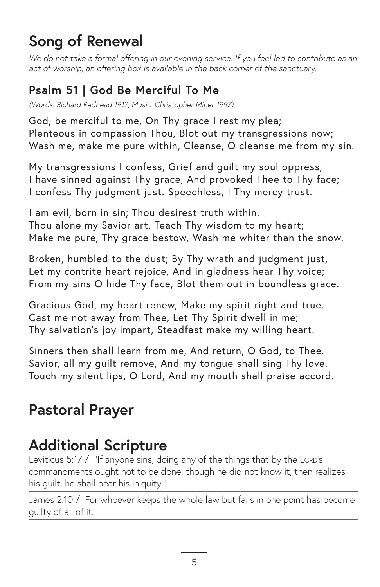# **Song of Renewal**

We do not take a formal offering in our evening service. If you feel led to contribute as an *act of worship, an offering box is available in the back corner of the sanctuary.*

#### **Psalm 51 | God Be Merciful To Me**

*(Words: Richard Redhead 1912; Music: Christopher Miner 1997)*

God, be merciful to me, On Thy grace I rest my plea; Plenteous in compassion Thou, Blot out my transgressions now; Wash me, make me pure within, Cleanse, O cleanse me from my sin.

My transgressions I confess, Grief and guilt my soul oppress; I have sinned against Thy grace, And provoked Thee to Thy face; I confess Thy judgment just. Speechless, I Thy mercy trust.

I am evil, born in sin; Thou desirest truth within. Thou alone my Savior art, Teach Thy wisdom to my heart; Make me pure, Thy grace bestow, Wash me whiter than the snow.

Broken, humbled to the dust; By Thy wrath and judgment just, Let my contrite heart rejoice, And in gladness hear Thy voice; From my sins O hide Thy face, Blot them out in boundless grace.

Gracious God, my heart renew, Make my spirit right and true. Cast me not away from Thee, Let Thy Spirit dwell in me; Thy salvation's joy impart, Steadfast make my willing heart.

Sinners then shall learn from me, And return, O God, to Thee. Savior, all my guilt remove, And my tongue shall sing Thy love. Touch my silent lips, O Lord, And my mouth shall praise accord.

# **Pastoral Prayer**

# **Additional Scripture**

Leviticus 5:17 / "If anyone sins, doing any of the things that by the LORD's commandments ought not to be done, though he did not know it, then realizes his guilt, he shall bear his iniquity."

James 2:10 / For whoever keeps the whole law but fails in one point has become guilty of all of it.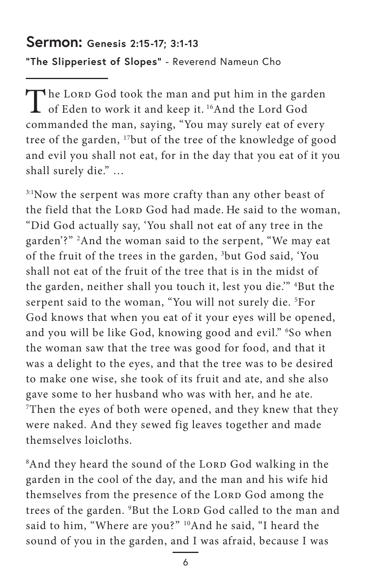#### **Sermon: Genesis 2:15-17; 3:1-13**

**"The Slipperiest of Slopes"** - Reverend Nameun Cho

The Lord God took the man and put him in the garden<br>of Eden to work it and keep it. <sup>16</sup>And the Lord God commanded the man, saying, "You may surely eat of every tree of the garden, 17but of the tree of the knowledge of good and evil you shall not eat, for in the day that you eat of it you shall surely die." …

3:1Now the serpent was more crafty than any other beast of the field that the LORD God had made. He said to the woman, "Did God actually say, 'You shall not eat of any tree in the garden'?" 2 And the woman said to the serpent, "We may eat of the fruit of the trees in the garden, 3 but God said, 'You shall not eat of the fruit of the tree that is in the midst of the garden, neither shall you touch it, lest you die.'" 4 But the serpent said to the woman, "You will not surely die. 5 For God knows that when you eat of it your eyes will be opened, and you will be like God, knowing good and evil." 6 So when the woman saw that the tree was good for food, and that it was a delight to the eyes, and that the tree was to be desired to make one wise, she took of its fruit and ate, and she also gave some to her husband who was with her, and he ate. 7 Then the eyes of both were opened, and they knew that they were naked. And they sewed fig leaves together and made themselves loicloths.

<sup>8</sup>And they heard the sound of the Lorp God walking in the garden in the cool of the day, and the man and his wife hid themselves from the presence of the LORD God among the trees of the garden. <sup>9</sup>But the Lorp God called to the man and said to him, "Where are you?" 10And he said, "I heard the sound of you in the garden, and I was afraid, because I was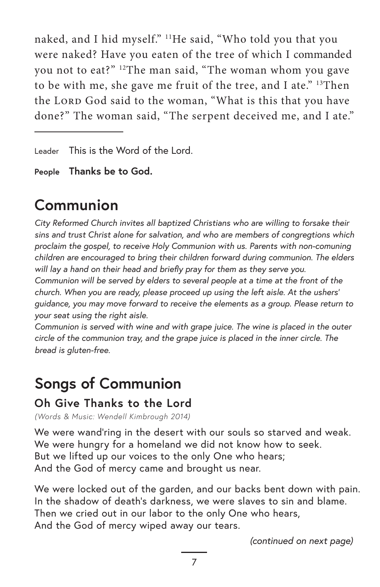naked, and I hid myself." 11He said, "Who told you that you were naked? Have you eaten of the tree of which I commanded you not to eat?" 12The man said, "The woman whom you gave to be with me, she gave me fruit of the tree, and I ate." 13Then the LORD God said to the woman, "What is this that you have done?" The woman said, "The serpent deceived me, and I ate."

Leader This is the Word of the Lord.

**People Thanks be to God.**

# **Communion**

*City Reformed Church invites all baptized Christians who are willing to forsake their sins and trust Christ alone for salvation, and who are members of congregtions which proclaim the gospel, to receive Holy Communion with us. Parents with non-comuning children are encouraged to bring their children forward during communion. The elders will lay a hand on their head and briefly pray for them as they serve you.*

*Communion will be served by elders to several people at a time at the front of the church. When you are ready, please proceed up using the left aisle. At the ushers' guidance, you may move forward to receive the elements as a group. Please return to your seat using the right aisle.* 

*Communion is served with wine and with grape juice. The wine is placed in the outer circle of the communion tray, and the grape juice is placed in the inner circle. The bread is gluten-free.*

# **Songs of Communion**

#### **Oh Give Thanks to the Lord**

*(Words & Music: Wendell Kimbrough 2014)*

We were wand'ring in the desert with our souls so starved and weak. We were hungry for a homeland we did not know how to seek. But we lifted up our voices to the only One who hears; And the God of mercy came and brought us near.

We were locked out of the garden, and our backs bent down with pain. In the shadow of death's darkness, we were slaves to sin and blame. Then we cried out in our labor to the only One who hears, And the God of mercy wiped away our tears.

*(continued on next page)*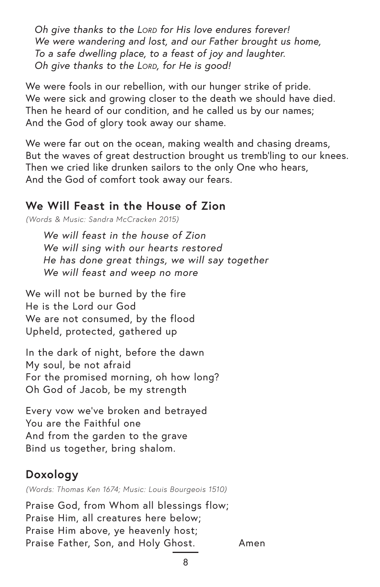*Oh give thanks to the Lord for His love endures forever! We were wandering and lost, and our Father brought us home, To a safe dwelling place, to a feast of joy and laughter. Oh give thanks to the Lord, for He is good!*

We were fools in our rebellion, with our hunger strike of pride. We were sick and growing closer to the death we should have died. Then he heard of our condition, and he called us by our names; And the God of glory took away our shame.

We were far out on the ocean, making wealth and chasing dreams, But the waves of great destruction brought us tremb'ling to our knees. Then we cried like drunken sailors to the only One who hears, And the God of comfort took away our fears.

#### **We Will Feast in the House of Zion**

*(Words & Music: Sandra McCracken 2015)*

*We will feast in the house of Zion We will sing with our hearts restored He has done great things, we will say together We will feast and weep no more* 

We will not be burned by the fire He is the Lord our God We are not consumed, by the flood Upheld, protected, gathered up

In the dark of night, before the dawn My soul, be not afraid For the promised morning, oh how long? Oh God of Jacob, be my strength

Every vow we've broken and betrayed You are the Faithful one And from the garden to the grave Bind us together, bring shalom.

#### **Doxology**

*(Words: Thomas Ken 1674; Music: Louis Bourgeois 1510)*

Praise God, from Whom all blessings flow; Praise Him, all creatures here below; Praise Him above, ye heavenly host; Praise Father, Son, and Holy Ghost. Amen

8